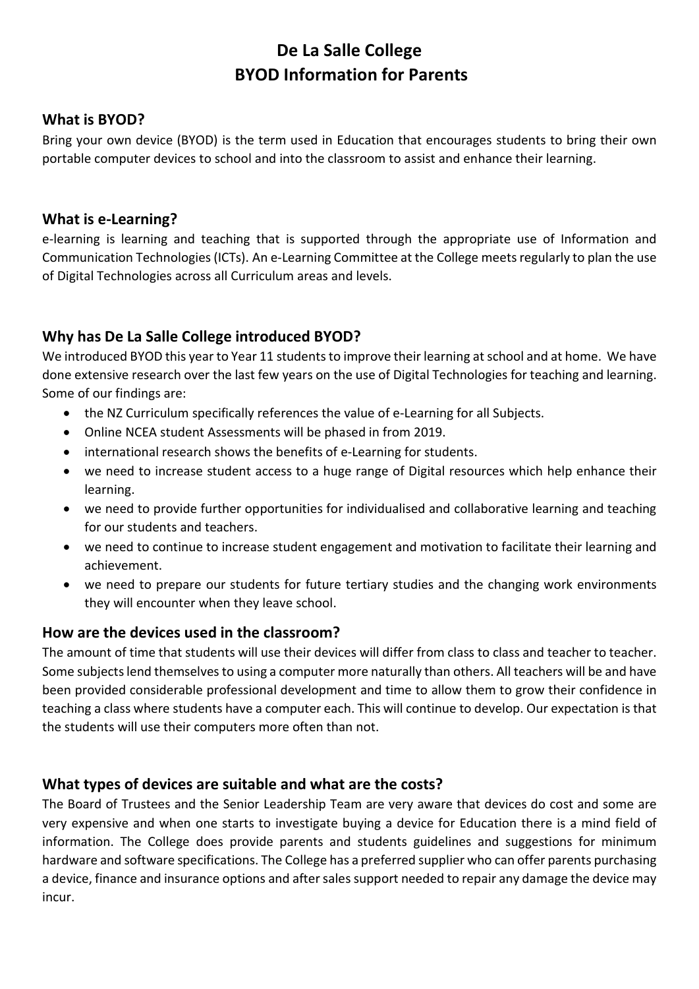# De La Salle College BYOD Information for Parents

#### What is BYOD?

Bring your own device (BYOD) is the term used in Education that encourages students to bring their own portable computer devices to school and into the classroom to assist and enhance their learning.

#### What is e-Learning?

e-learning is learning and teaching that is supported through the appropriate use of Information and Communication Technologies (ICTs). An e-Learning Committee at the College meets regularly to plan the use of Digital Technologies across all Curriculum areas and levels.

#### Why has De La Salle College introduced BYOD?

We introduced BYOD this year to Year 11 students to improve their learning at school and at home. We have done extensive research over the last few years on the use of Digital Technologies for teaching and learning. Some of our findings are:

- the NZ Curriculum specifically references the value of e-Learning for all Subjects.
- Online NCEA student Assessments will be phased in from 2019.
- international research shows the benefits of e-Learning for students.
- we need to increase student access to a huge range of Digital resources which help enhance their learning.
- we need to provide further opportunities for individualised and collaborative learning and teaching for our students and teachers.
- we need to continue to increase student engagement and motivation to facilitate their learning and achievement.
- we need to prepare our students for future tertiary studies and the changing work environments they will encounter when they leave school.

#### How are the devices used in the classroom?

The amount of time that students will use their devices will differ from class to class and teacher to teacher. Some subjects lend themselves to using a computer more naturally than others. All teachers will be and have been provided considerable professional development and time to allow them to grow their confidence in teaching a class where students have a computer each. This will continue to develop. Our expectation is that the students will use their computers more often than not.

#### What types of devices are suitable and what are the costs?

The Board of Trustees and the Senior Leadership Team are very aware that devices do cost and some are very expensive and when one starts to investigate buying a device for Education there is a mind field of information. The College does provide parents and students guidelines and suggestions for minimum hardware and software specifications. The College has a preferred supplier who can offer parents purchasing a device, finance and insurance options and after sales support needed to repair any damage the device may incur.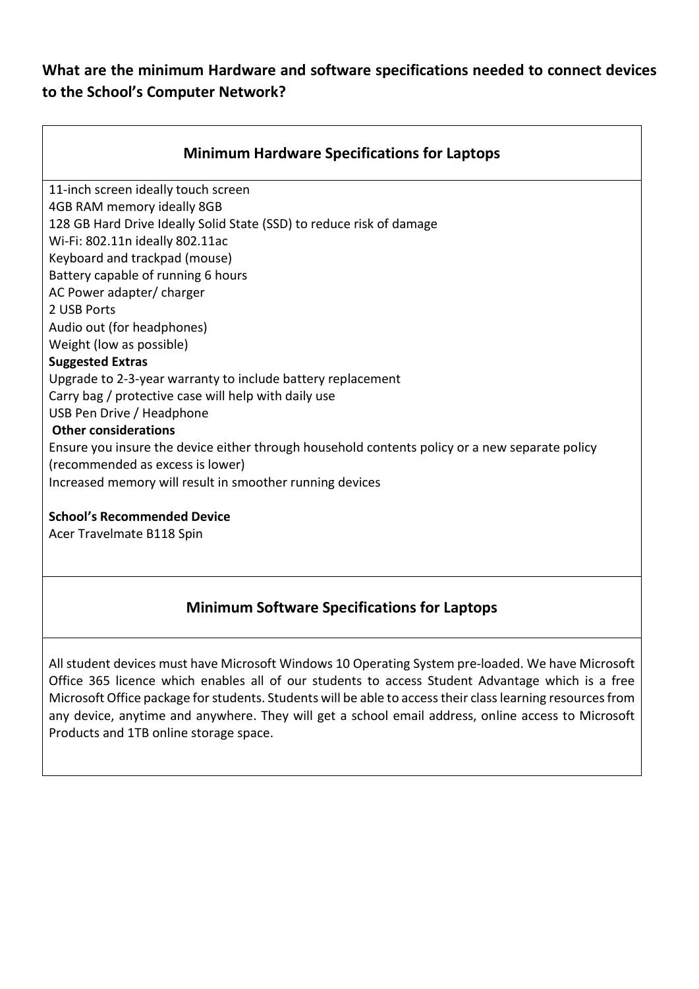#### What are the minimum Hardware and software specifications needed to connect devices to the School's Computer Network?

| <b>Minimum Hardware Specifications for Laptops</b>                                             |
|------------------------------------------------------------------------------------------------|
| 11-inch screen ideally touch screen                                                            |
| 4GB RAM memory ideally 8GB                                                                     |
| 128 GB Hard Drive Ideally Solid State (SSD) to reduce risk of damage                           |
| Wi-Fi: 802.11n ideally 802.11ac                                                                |
| Keyboard and trackpad (mouse)                                                                  |
| Battery capable of running 6 hours                                                             |
| AC Power adapter/charger                                                                       |
| 2 USB Ports                                                                                    |
| Audio out (for headphones)                                                                     |
| Weight (low as possible)                                                                       |
| <b>Suggested Extras</b>                                                                        |
| Upgrade to 2-3-year warranty to include battery replacement                                    |
| Carry bag / protective case will help with daily use                                           |
| USB Pen Drive / Headphone                                                                      |
| <b>Other considerations</b>                                                                    |
| Ensure you insure the device either through household contents policy or a new separate policy |
| (recommended as excess is lower)                                                               |
| Increased memory will result in smoother running devices                                       |
| <b>School's Recommended Device</b>                                                             |

Acer Travelmate B118 Spin

### Minimum Software Specifications for Laptops

All student devices must have Microsoft Windows 10 Operating System pre-loaded. We have Microsoft Office 365 licence which enables all of our students to access Student Advantage which is a free Microsoft Office package for students. Students will be able to access their class learning resources from any device, anytime and anywhere. They will get a school email address, online access to Microsoft Products and 1TB online storage space.